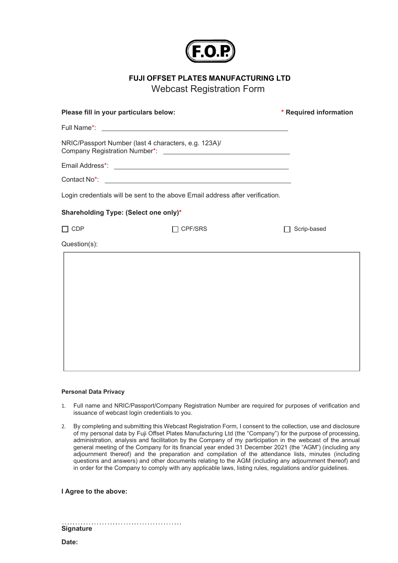

FUJI OFFSET PLATES MANUFACTURING LTD

Webcast Registration Form

| Please fill in your particulars below:                                        |                | * Required information |
|-------------------------------------------------------------------------------|----------------|------------------------|
|                                                                               |                |                        |
| NRIC/Passport Number (last 4 characters, e.g. 123A)/                          |                |                        |
|                                                                               |                |                        |
|                                                                               |                |                        |
| Login credentials will be sent to the above Email address after verification. |                |                        |
| Shareholding Type: (Select one only)*                                         |                |                        |
| $\Box$ CDP                                                                    | $\Box$ CPF/SRS | Scrip-based            |
| Question(s):                                                                  |                |                        |
|                                                                               |                |                        |
|                                                                               |                |                        |
|                                                                               |                |                        |
|                                                                               |                |                        |
|                                                                               |                |                        |
|                                                                               |                |                        |
|                                                                               |                |                        |
|                                                                               |                |                        |

## Personal Data Privacy

- 1. Full name and NRIC/Passport/Company Registration Number are required for purposes of verification and issuance of webcast login credentials to you.
- 2. By completing and submitting this Webcast Registration Form, I consent to the collection, use and disclosure of my personal data by Fuji Offset Plates Manufacturing Ltd (the "Company") for the purpose of processing, administration, analysis and facilitation by the Company of my participation in the webcast of the annual general meeting of the Company for its financial year ended 31 December 2021 (the "AGM") (including any adjournment thereof) and the preparation and compilation of the attendance lists, minutes (including questions and answers) and other documents relating to the AGM (including any adjournment thereof) and in order for the Company to comply with any applicable laws, listing rules, regulations and/or guidelines.

I Agree to the above:

Signature

Date: